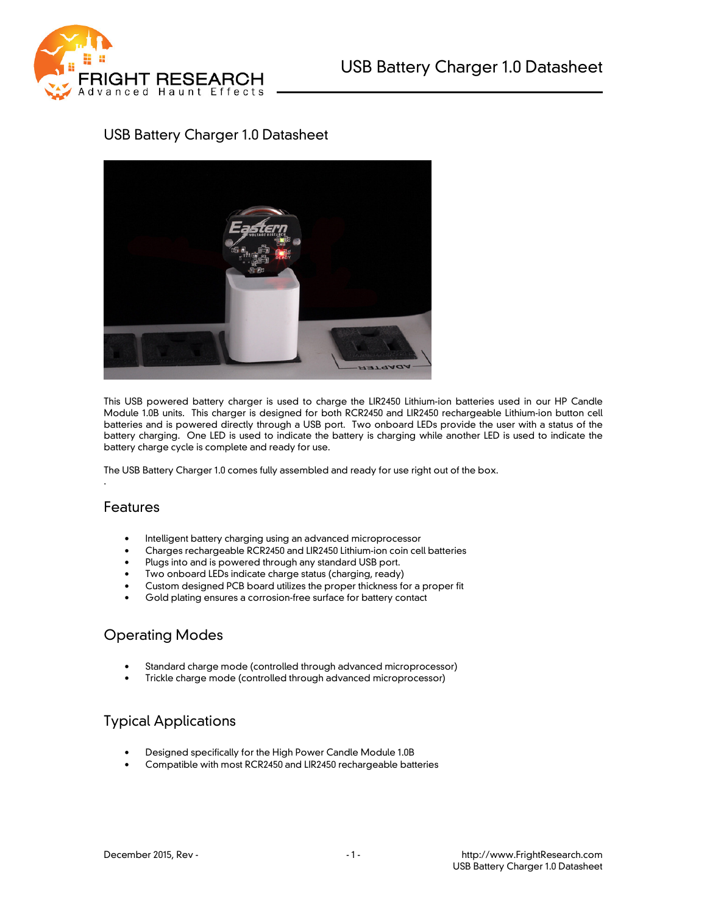

# USB Battery Charger 1.0 Datasheet



This USB powered battery charger is used to charge the LIR2450 Lithium-ion batteries used in our HP Candle Module 1.0B units. This charger is designed for both RCR2450 and LIR2450 rechargeable Lithium-ion button cell batteries and is powered directly through a USB port. Two onboard LEDs provide the user with a status of the battery charging. One LED is used to indicate the battery is charging while another LED is used to indicate the battery charge cycle is complete and ready for use.

The USB Battery Charger 1.0 comes fully assembled and ready for use right out of the box.

#### Features

.

- Intelligent battery charging using an advanced microprocessor
- Charges rechargeable RCR2450 and LIR2450 Lithium-ion coin cell batteries
- Plugs into and is powered through any standard USB port.
- Two onboard LEDs indicate charge status (charging, ready)
- Custom designed PCB board utilizes the proper thickness for a proper fit
- Gold plating ensures a corrosion-free surface for battery contact

### Operating Modes

- Standard charge mode (controlled through advanced microprocessor)
- Trickle charge mode (controlled through advanced microprocessor)

### Typical Applications

- Designed specifically for the High Power Candle Module 1.0B
- Compatible with most RCR2450 and LIR2450 rechargeable batteries